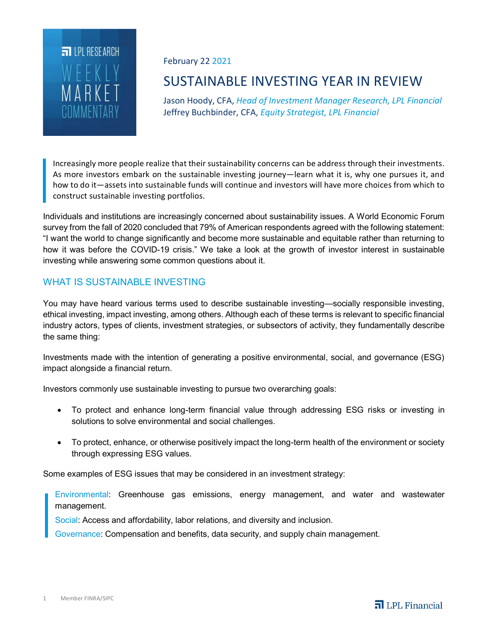

#### February 22 2021

# SUSTAINABLE INVESTING YEAR IN REVIEW

Jason Hoody, CFA, *Head of Investment Manager Research, LPL Financial* Jeffrey Buchbinder, CFA, *Equity Strategist, LPL Financial*

Increasingly more people realize that their sustainability concerns can be address through their investments. As more investors embark on the sustainable investing journey—learn what it is, why one pursues it, and how to do it—assets into sustainable funds will continue and investors will have more choices from which to construct sustainable investing portfolios.

Individuals and institutions are increasingly concerned about sustainability issues. A World Economic Forum survey from the fall of 2020 concluded that 79% of American respondents agreed with the following statement: "I want the world to change significantly and become more sustainable and equitable rather than returning to how it was before the COVID-19 crisis." We take a look at the growth of investor interest in sustainable investing while answering some common questions about it.

# WHAT IS SUSTAINABLE INVESTING

You may have heard various terms used to describe sustainable investing—socially responsible investing, ethical investing, impact investing, among others. Although each of these terms is relevant to specific financial industry actors, types of clients, investment strategies, or subsectors of activity, they fundamentally describe the same thing:

Investments made with the intention of generating a positive environmental, social, and governance (ESG) impact alongside a financial return.

Investors commonly use sustainable investing to pursue two overarching goals:

- To protect and enhance long-term financial value through addressing ESG risks or investing in solutions to solve environmental and social challenges.
- To protect, enhance, or otherwise positively impact the long-term health of the environment or society through expressing ESG values.

Some examples of ESG issues that may be considered in an investment strategy:

Environmental: Greenhouse gas emissions, energy management, and water and wastewater management.

Social: Access and affordability, labor relations, and diversity and inclusion.

Governance: Compensation and benefits, data security, and supply chain management.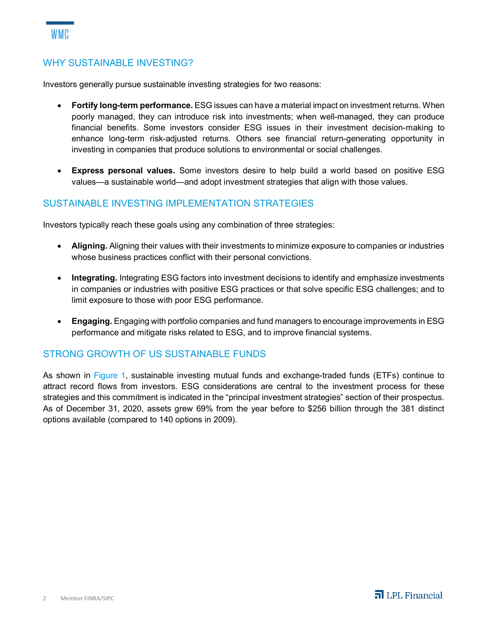#### WHY SUSTAINABLE INVESTING?

Investors generally pursue sustainable investing strategies for two reasons:

- **Fortify long-term performance.** ESG issues can have a material impact on investment returns. When poorly managed, they can introduce risk into investments; when well-managed, they can produce financial benefits. Some investors consider ESG issues in their investment decision-making to enhance long-term risk-adjusted returns. Others see financial return-generating opportunity in investing in companies that produce solutions to environmental or social challenges.
- **Express personal values.** Some investors desire to help build a world based on positive ESG values—a sustainable world—and adopt investment strategies that align with those values.

#### SUSTAINABLE INVESTING IMPLEMENTATION STRATEGIES

Investors typically reach these goals using any combination of three strategies:

- **Aligning.** Aligning their values with their investments to minimize exposure to companies or industries whose business practices conflict with their personal convictions.
- **Integrating.** Integrating ESG factors into investment decisions to identify and emphasize investments in companies or industries with positive ESG practices or that solve specific ESG challenges; and to limit exposure to those with poor ESG performance.
- **Engaging.** Engaging with portfolio companies and fund managers to encourage improvements in ESG performance and mitigate risks related to ESG, and to improve financial systems.

#### STRONG GROWTH OF US SUSTAINABLE FUNDS

As shown in Figure 1, sustainable investing mutual funds and exchange-traded funds (ETFs) continue to attract record flows from investors. ESG considerations are central to the investment process for these strategies and this commitment is indicated in the "principal investment strategies" section of their prospectus. As of December 31, 2020, assets grew 69% from the year before to \$256 billion through the 381 distinct options available (compared to 140 options in 2009).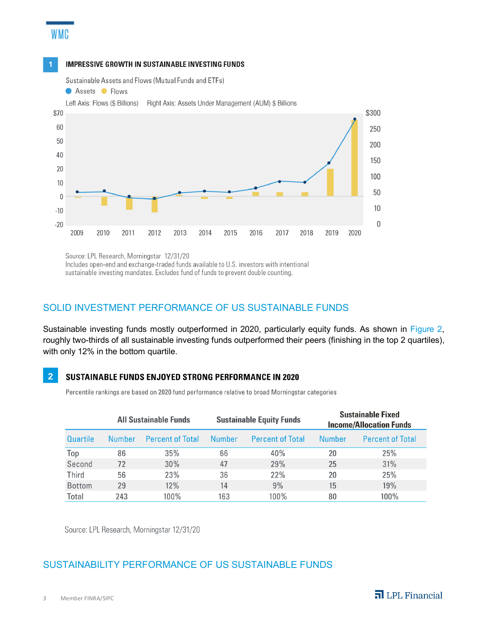#### **IMPRESSIVE GROWTH IN SUSTAINABLE INVESTING FUNDS**

Sustainable Assets and Flows (Mutual Funds and ETFs)

**WMC** 



Source: LPL Research, Morningstar 12/31/20 Includes open-end and exchange-traded funds available to U.S. investors with intentional sustainable investing mandates. Excludes fund of funds to prevent double counting.

#### SOLID INVESTMENT PERFORMANCE OF US SUSTAINABLE FUNDS

Sustainable investing funds mostly outperformed in 2020, particularly equity funds. As shown in Figure 2, roughly two-thirds of all sustainable investing funds outperformed their peers (finishing in the top 2 quartiles), with only 12% in the bottom quartile.

#### $\overline{2}$ SUSTAINABLE FUNDS ENJOYED STRONG PERFORMANCE IN 2020

Percentile rankings are based on 2020 fund performance relative to broad Morningstar categories

|               | <b>All Sustainable Funds</b> |                         | <b>Sustainable Equity Funds</b> |                         | <b>Sustainable Fixed</b><br><b>Income/Allocation Funds</b> |                         |
|---------------|------------------------------|-------------------------|---------------------------------|-------------------------|------------------------------------------------------------|-------------------------|
| Quartile      | Number                       | <b>Percent of Total</b> | Number                          | <b>Percent of Total</b> | Number                                                     | <b>Percent of Total</b> |
| Top           | 86                           | 35%                     | 66                              | 40%                     | 20                                                         | 25%                     |
| Second        | 72                           | 30%                     | 47                              | 29%                     | 25                                                         | 31%                     |
| Third         | 56                           | 23%                     | 36                              | 22%                     | 20                                                         | 25%                     |
| <b>Bottom</b> | 29                           | 12%                     | 14                              | 9%                      | 15                                                         | 19%                     |
| Total         | 243                          | $100\%$                 | 163                             | $100\%$                 | 80                                                         | 100%                    |

Source: LPL Research, Morningstar 12/31/20

## SUSTAINABILITY PERFORMANCE OF US SUSTAINABLE FUNDS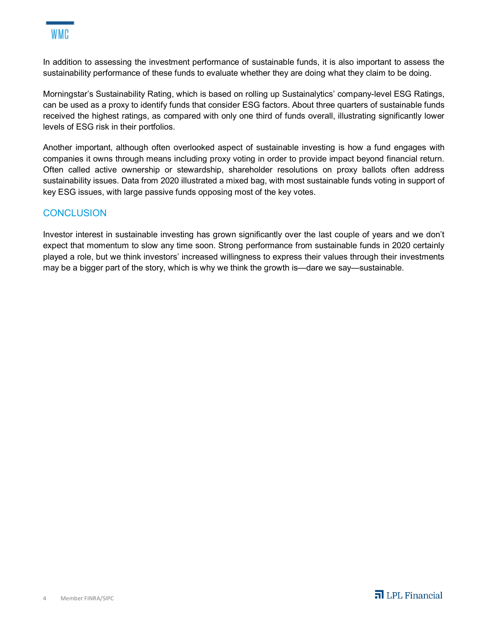In addition to assessing the investment performance of sustainable funds, it is also important to assess the sustainability performance of these funds to evaluate whether they are doing what they claim to be doing.

Morningstar's Sustainability Rating, which is based on rolling up Sustainalytics' company-level ESG Ratings, can be used as a proxy to identify funds that consider ESG factors. About three quarters of sustainable funds received the highest ratings, as compared with only one third of funds overall, illustrating significantly lower levels of ESG risk in their portfolios.

Another important, although often overlooked aspect of sustainable investing is how a fund engages with companies it owns through means including proxy voting in order to provide impact beyond financial return. Often called active ownership or stewardship, shareholder resolutions on proxy ballots often address sustainability issues. Data from 2020 illustrated a mixed bag, with most sustainable funds voting in support of key ESG issues, with large passive funds opposing most of the key votes.

### **CONCLUSION**

Investor interest in sustainable investing has grown significantly over the last couple of years and we don't expect that momentum to slow any time soon. Strong performance from sustainable funds in 2020 certainly played a role, but we think investors' increased willingness to express their values through their investments may be a bigger part of the story, which is why we think the growth is—dare we say—sustainable.